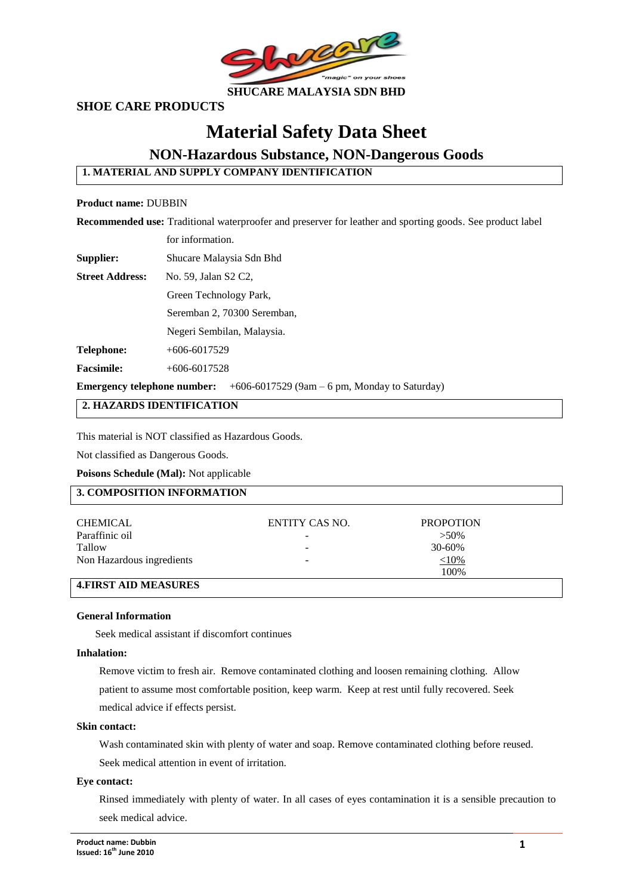

## **SHOE CARE PRODUCTS**

# **Material Safety Data Sheet**

## **NON-Hazardous Substance, NON-Dangerous Goods**

**1. MATERIAL AND SUPPLY COMPANY IDENTIFICATION**

#### **Product name:** DUBBIN

**Recommended use:** Traditional waterproofer and preserver for leather and sporting goods. See product label

|  | for information. |
|--|------------------|
|--|------------------|

**Supplier:** Shucare Malaysia Sdn Bhd

**Street Address:** No. 59, Jalan S2 C2,

Green Technology Park,

Seremban 2, 70300 Seremban,

Negeri Sembilan, Malaysia.

**Telephone:** +606-6017529

**Facsimile:** +606-6017528

**Emergency telephone number:** +606-6017529 (9am – 6 pm, Monday to Saturday)

## **2. HAZARDS IDENTIFICATION**

This material is NOT classified as Hazardous Goods.

Not classified as Dangerous Goods.

**Poisons Schedule (Mal):** Not applicable

### **3. COMPOSITION INFORMATION**

| <b>CHEMICAL</b>           | ENTITY CAS NO. | <b>PROPOTION</b> |  |
|---------------------------|----------------|------------------|--|
| Paraffinic oil            |                | $>50\%$          |  |
| Tallow                    | -              | $30 - 60\%$      |  |
| Non Hazardous ingredients |                | $<10\%$          |  |
|                           |                | 100%             |  |
|                           |                |                  |  |

## **4.FIRST AID MEASURES**

#### **General Information**

Seek medical assistant if discomfort continues

#### **Inhalation:**

Remove victim to fresh air. Remove contaminated clothing and loosen remaining clothing. Allow patient to assume most comfortable position, keep warm. Keep at rest until fully recovered. Seek medical advice if effects persist.

#### **Skin contact:**

Wash contaminated skin with plenty of water and soap. Remove contaminated clothing before reused. Seek medical attention in event of irritation.

#### **Eye contact:**

Rinsed immediately with plenty of water. In all cases of eyes contamination it is a sensible precaution to seek medical advice.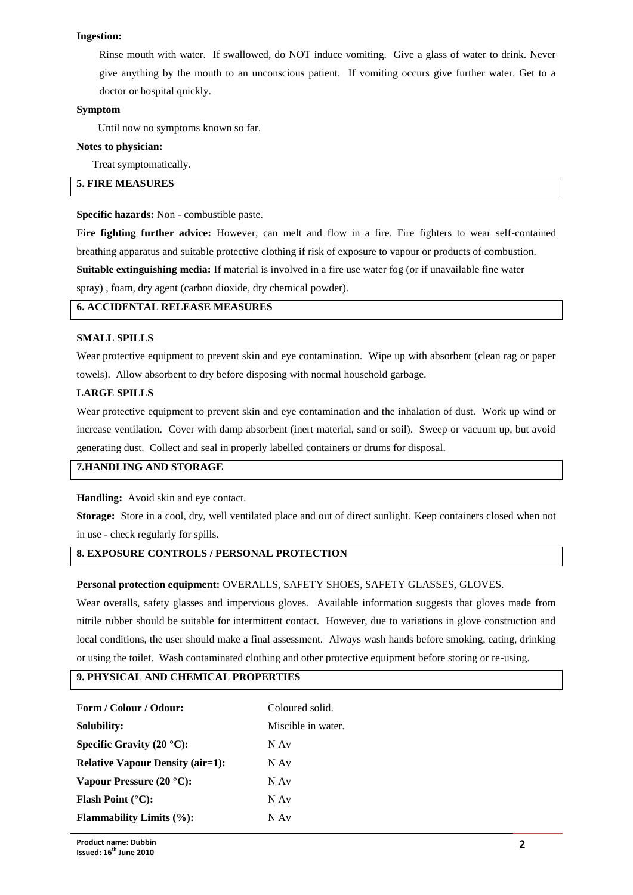#### **Ingestion:**

Rinse mouth with water. If swallowed, do NOT induce vomiting. Give a glass of water to drink. Never give anything by the mouth to an unconscious patient. If vomiting occurs give further water. Get to a doctor or hospital quickly.

#### **Symptom**

Until now no symptoms known so far.

#### **Notes to physician:**

Treat symptomatically.

## **5. FIRE MEASURES**

#### **Specific hazards:** Non - combustible paste.

**Fire fighting further advice:** However, can melt and flow in a fire. Fire fighters to wear self-contained breathing apparatus and suitable protective clothing if risk of exposure to vapour or products of combustion. **Suitable extinguishing media:** If material is involved in a fire use water fog (or if unavailable fine water spray) , foam, dry agent (carbon dioxide, dry chemical powder).

#### **6. ACCIDENTAL RELEASE MEASURES**

#### **SMALL SPILLS**

Wear protective equipment to prevent skin and eye contamination. Wipe up with absorbent (clean rag or paper towels). Allow absorbent to dry before disposing with normal household garbage.

#### **LARGE SPILLS**

Wear protective equipment to prevent skin and eye contamination and the inhalation of dust. Work up wind or increase ventilation. Cover with damp absorbent (inert material, sand or soil). Sweep or vacuum up, but avoid generating dust. Collect and seal in properly labelled containers or drums for disposal.

## **7.HANDLING AND STORAGE**

**Handling:** Avoid skin and eye contact.

**Storage:** Store in a cool, dry, well ventilated place and out of direct sunlight. Keep containers closed when not in use - check regularly for spills.

## **8. EXPOSURE CONTROLS / PERSONAL PROTECTION**

#### **Personal protection equipment:** OVERALLS, SAFETY SHOES, SAFETY GLASSES, GLOVES.

Wear overalls, safety glasses and impervious gloves. Available information suggests that gloves made from nitrile rubber should be suitable for intermittent contact. However, due to variations in glove construction and local conditions, the user should make a final assessment. Always wash hands before smoking, eating, drinking or using the toilet. Wash contaminated clothing and other protective equipment before storing or re-using.

#### **9. PHYSICAL AND CHEMICAL PROPERTIES**

| Form / Colour / Odour:                  | Coloured solid.    |  |
|-----------------------------------------|--------------------|--|
| Solubility:                             | Miscible in water. |  |
| Specific Gravity $(20 °C)$ :            | N Av               |  |
| <b>Relative Vapour Density (air=1):</b> | N Av               |  |
| Vapour Pressure $(20 °C)$ :             | N Av               |  |
| <b>Flash Point</b> $(^{\circ}C)$ :      | N Av               |  |
| <b>Flammability Limits (%):</b>         | N Av               |  |